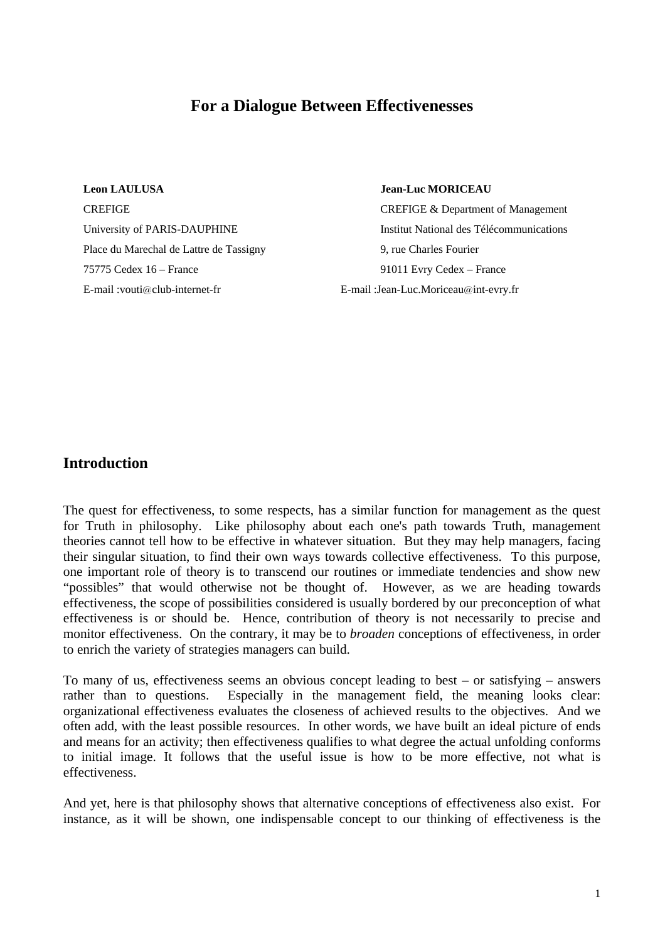# **For a Dialogue Between Effectivenesses**

**Leon LAULUSA Jean-Luc MORICEAU** Place du Marechal de Lattre de Tassigny 9, rue Charles Fourier 75775 Cedex 16 – France 91011 Evry Cedex – France E-mail :vouti@club-internet-fr E-mail :Jean-Luc.Moriceau@int-evry.fr

**CREFIGE CREFIGE A** Department of Management University of PARIS-DAUPHINE Institut National des Télécommunications

# **Introduction**

The quest for effectiveness, to some respects, has a similar function for management as the quest for Truth in philosophy. Like philosophy about each one's path towards Truth, management theories cannot tell how to be effective in whatever situation. But they may help managers, facing their singular situation, to find their own ways towards collective effectiveness. To this purpose, one important role of theory is to transcend our routines or immediate tendencies and show new "possibles" that would otherwise not be thought of. However, as we are heading towards effectiveness, the scope of possibilities considered is usually bordered by our preconception of what effectiveness is or should be. Hence, contribution of theory is not necessarily to precise and monitor effectiveness. On the contrary, it may be to *broaden* conceptions of effectiveness, in order to enrich the variety of strategies managers can build.

To many of us, effectiveness seems an obvious concept leading to best – or satisfying – answers rather than to questions. Especially in the management field, the meaning looks clear: organizational effectiveness evaluates the closeness of achieved results to the objectives. And we often add, with the least possible resources. In other words, we have built an ideal picture of ends and means for an activity; then effectiveness qualifies to what degree the actual unfolding conforms to initial image. It follows that the useful issue is how to be more effective, not what is effectiveness.

And yet, here is that philosophy shows that alternative conceptions of effectiveness also exist. For instance, as it will be shown, one indispensable concept to our thinking of effectiveness is the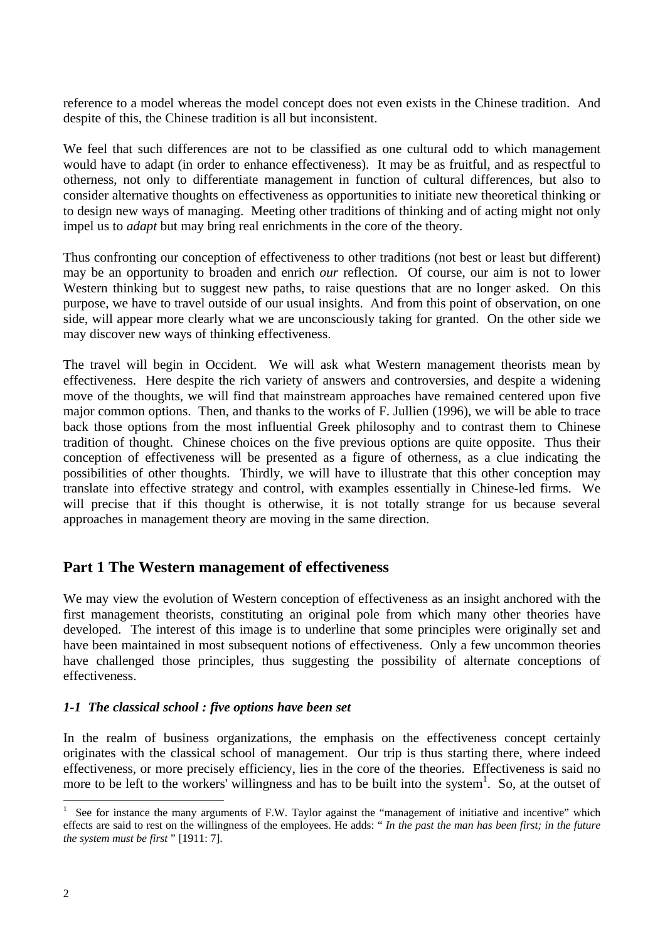reference to a model whereas the model concept does not even exists in the Chinese tradition. And despite of this, the Chinese tradition is all but inconsistent.

We feel that such differences are not to be classified as one cultural odd to which management would have to adapt (in order to enhance effectiveness). It may be as fruitful, and as respectful to otherness, not only to differentiate management in function of cultural differences, but also to consider alternative thoughts on effectiveness as opportunities to initiate new theoretical thinking or to design new ways of managing. Meeting other traditions of thinking and of acting might not only impel us to *adapt* but may bring real enrichments in the core of the theory.

Thus confronting our conception of effectiveness to other traditions (not best or least but different) may be an opportunity to broaden and enrich *our* reflection. Of course, our aim is not to lower Western thinking but to suggest new paths, to raise questions that are no longer asked. On this purpose, we have to travel outside of our usual insights. And from this point of observation, on one side, will appear more clearly what we are unconsciously taking for granted. On the other side we may discover new ways of thinking effectiveness.

The travel will begin in Occident. We will ask what Western management theorists mean by effectiveness. Here despite the rich variety of answers and controversies, and despite a widening move of the thoughts, we will find that mainstream approaches have remained centered upon five major common options. Then, and thanks to the works of F. Jullien (1996), we will be able to trace back those options from the most influential Greek philosophy and to contrast them to Chinese tradition of thought. Chinese choices on the five previous options are quite opposite. Thus their conception of effectiveness will be presented as a figure of otherness, as a clue indicating the possibilities of other thoughts. Thirdly, we will have to illustrate that this other conception may translate into effective strategy and control, with examples essentially in Chinese-led firms. We will precise that if this thought is otherwise, it is not totally strange for us because several approaches in management theory are moving in the same direction.

# **Part 1 The Western management of effectiveness**

We may view the evolution of Western conception of effectiveness as an insight anchored with the first management theorists, constituting an original pole from which many other theories have developed. The interest of this image is to underline that some principles were originally set and have been maintained in most subsequent notions of effectiveness. Only a few uncommon theories have challenged those principles, thus suggesting the possibility of alternate conceptions of effectiveness.

# *1-1 The classical school : five options have been set*

In the realm of business organizations, the emphasis on the effectiveness concept certainly originates with the classical school of management. Our trip is thus starting there, where indeed effectiveness, or more precisely efficiency, lies in the core of the theories. Effectiveness is said no more to be left to the workers' willingness and has to be built into the system<sup>1</sup>. So, at the outset of

<sup>1</sup> See for instance the many arguments of F.W. Taylor against the "management of initiative and incentive" which effects are said to rest on the willingness of the employees. He adds: " *In the past the man has been first; in the future the system must be first* " [1911: 7].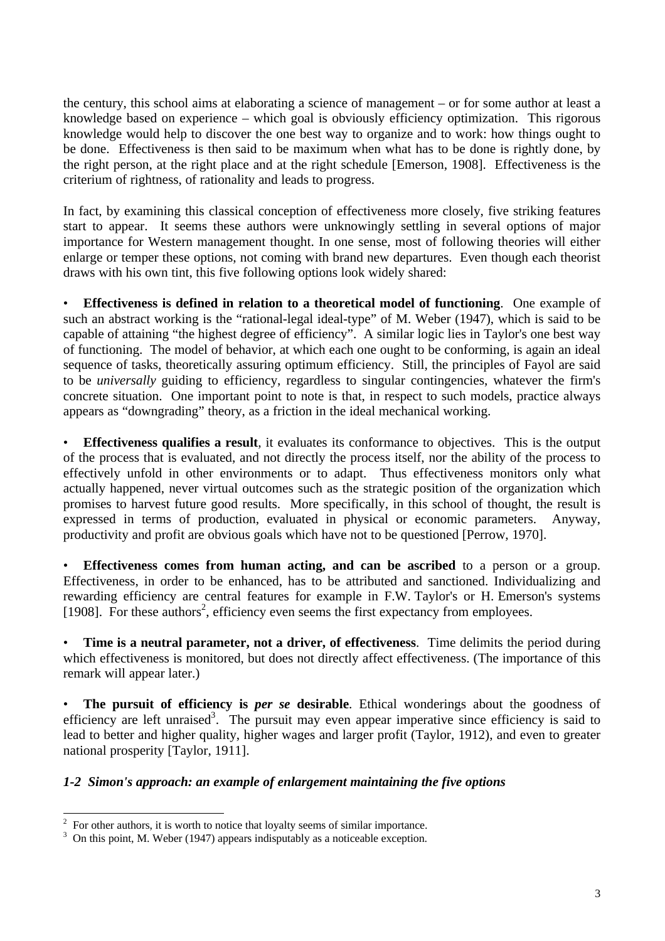the century, this school aims at elaborating a science of management – or for some author at least a knowledge based on experience – which goal is obviously efficiency optimization. This rigorous knowledge would help to discover the one best way to organize and to work: how things ought to be done. Effectiveness is then said to be maximum when what has to be done is rightly done, by the right person, at the right place and at the right schedule [Emerson, 1908]. Effectiveness is the criterium of rightness, of rationality and leads to progress.

In fact, by examining this classical conception of effectiveness more closely, five striking features start to appear. It seems these authors were unknowingly settling in several options of major importance for Western management thought. In one sense, most of following theories will either enlarge or temper these options, not coming with brand new departures. Even though each theorist draws with his own tint, this five following options look widely shared:

• **Effectiveness is defined in relation to a theoretical model of functioning**. One example of such an abstract working is the "rational-legal ideal-type" of M. Weber (1947), which is said to be capable of attaining "the highest degree of efficiency". A similar logic lies in Taylor's one best way of functioning. The model of behavior, at which each one ought to be conforming, is again an ideal sequence of tasks, theoretically assuring optimum efficiency. Still, the principles of Fayol are said to be *universally* guiding to efficiency, regardless to singular contingencies, whatever the firm's concrete situation. One important point to note is that, in respect to such models, practice always appears as "downgrading" theory, as a friction in the ideal mechanical working.

**Effectiveness qualifies a result**, it evaluates its conformance to objectives. This is the output of the process that is evaluated, and not directly the process itself, nor the ability of the process to effectively unfold in other environments or to adapt. Thus effectiveness monitors only what actually happened, never virtual outcomes such as the strategic position of the organization which promises to harvest future good results. More specifically, in this school of thought, the result is expressed in terms of production, evaluated in physical or economic parameters. Anyway, productivity and profit are obvious goals which have not to be questioned [Perrow, 1970].

**Effectiveness comes from human acting, and can be ascribed** to a person or a group. Effectiveness, in order to be enhanced, has to be attributed and sanctioned. Individualizing and rewarding efficiency are central features for example in F.W. Taylor's or H. Emerson's systems [1908]. For these authors<sup>2</sup>, efficiency even seems the first expectancy from employees.

• **Time is a neutral parameter, not a driver, of effectiveness**. Time delimits the period during which effectiveness is monitored, but does not directly affect effectiveness. (The importance of this remark will appear later.)

• **The pursuit of efficiency is** *per se* **desirable**. Ethical wonderings about the goodness of efficiency are left unraised<sup>3</sup>. The pursuit may even appear imperative since efficiency is said to lead to better and higher quality, higher wages and larger profit (Taylor, 1912), and even to greater national prosperity [Taylor, 1911].

# *1-2 Simon's approach: an example of enlargement maintaining the five options*

<sup>2</sup> For other authors, it is worth to notice that loyalty seems of similar importance.

 $3$  On this point, M. Weber (1947) appears indisputably as a noticeable exception.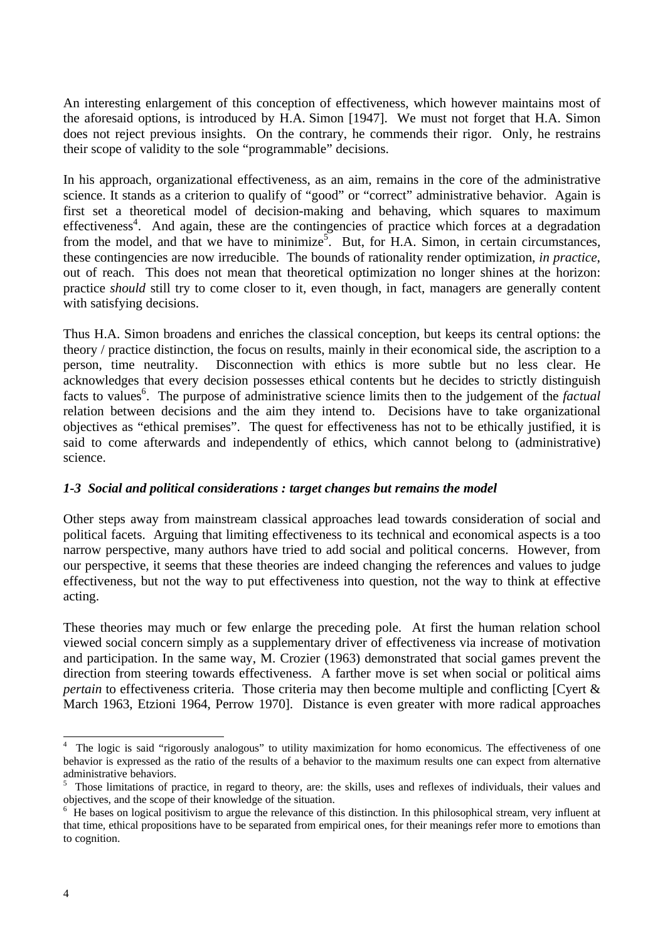An interesting enlargement of this conception of effectiveness, which however maintains most of the aforesaid options, is introduced by H.A. Simon [1947]. We must not forget that H.A. Simon does not reject previous insights. On the contrary, he commends their rigor. Only, he restrains their scope of validity to the sole "programmable" decisions.

In his approach, organizational effectiveness, as an aim, remains in the core of the administrative science. It stands as a criterion to qualify of "good" or "correct" administrative behavior. Again is first set a theoretical model of decision-making and behaving, which squares to maximum effectiveness<sup>4</sup>. And again, these are the contingencies of practice which forces at a degradation from the model, and that we have to minimize<sup>5</sup>. But, for H.A. Simon, in certain circumstances, these contingencies are now irreducible. The bounds of rationality render optimization, *in practice*, out of reach. This does not mean that theoretical optimization no longer shines at the horizon: practice *should* still try to come closer to it, even though, in fact, managers are generally content with satisfying decisions.

Thus H.A. Simon broadens and enriches the classical conception, but keeps its central options: the theory / practice distinction, the focus on results, mainly in their economical side, the ascription to a person, time neutrality. Disconnection with ethics is more subtle but no less clear. He acknowledges that every decision possesses ethical contents but he decides to strictly distinguish facts to values<sup>6</sup>. The purpose of administrative science limits then to the judgement of the *factual* relation between decisions and the aim they intend to. Decisions have to take organizational objectives as "ethical premises". The quest for effectiveness has not to be ethically justified, it is said to come afterwards and independently of ethics, which cannot belong to (administrative) science.

# *1-3 Social and political considerations : target changes but remains the model*

Other steps away from mainstream classical approaches lead towards consideration of social and political facets. Arguing that limiting effectiveness to its technical and economical aspects is a too narrow perspective, many authors have tried to add social and political concerns. However, from our perspective, it seems that these theories are indeed changing the references and values to judge effectiveness, but not the way to put effectiveness into question, not the way to think at effective acting.

These theories may much or few enlarge the preceding pole. At first the human relation school viewed social concern simply as a supplementary driver of effectiveness via increase of motivation and participation. In the same way, M. Crozier (1963) demonstrated that social games prevent the direction from steering towards effectiveness. A farther move is set when social or political aims *pertain* to effectiveness criteria. Those criteria may then become multiple and conflicting [Cyert & March 1963, Etzioni 1964, Perrow 1970]. Distance is even greater with more radical approaches

 $\overline{a}$ 4 The logic is said "rigorously analogous" to utility maximization for homo economicus. The effectiveness of one behavior is expressed as the ratio of the results of a behavior to the maximum results one can expect from alternative administrative behaviors.

<sup>&</sup>lt;sup>5</sup> Those limitations of practice, in regard to theory, are: the skills, uses and reflexes of individuals, their values and objectives, and the scope of their knowledge of the situation.

<sup>&</sup>lt;sup>6</sup> He bases on logical positivism to argue the relevance of this distinction. In this philosophical stream, very influent at that time, ethical propositions have to be separated from empirical ones, for their meanings refer more to emotions than to cognition.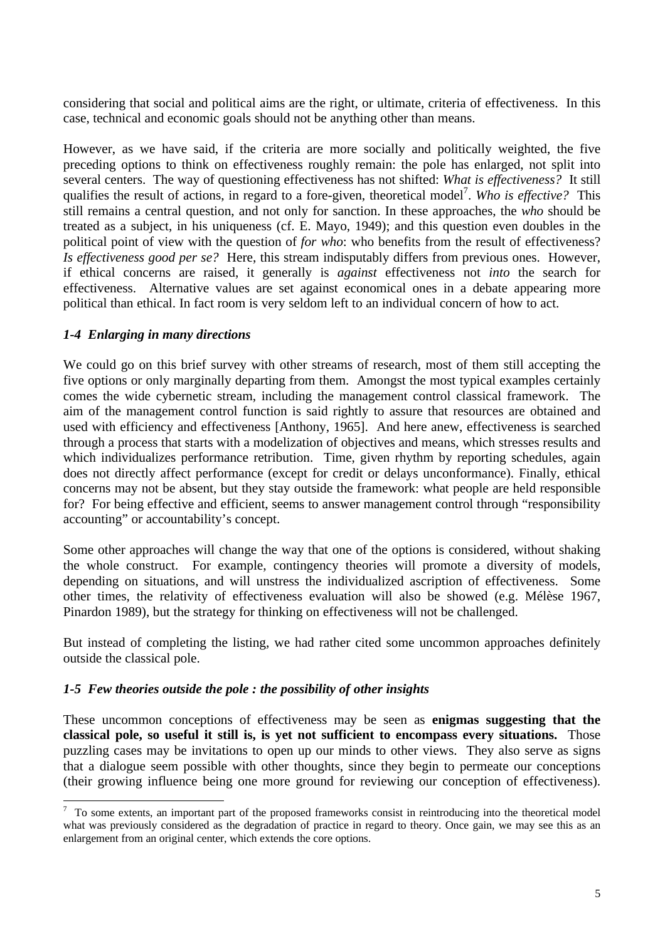considering that social and political aims are the right, or ultimate, criteria of effectiveness. In this case, technical and economic goals should not be anything other than means.

However, as we have said, if the criteria are more socially and politically weighted, the five preceding options to think on effectiveness roughly remain: the pole has enlarged, not split into several centers. The way of questioning effectiveness has not shifted: *What is effectiveness?* It still qualifies the result of actions, in regard to a fore-given, theoretical model<sup>7</sup>. Who is effective? This still remains a central question, and not only for sanction. In these approaches, the *who* should be treated as a subject, in his uniqueness (cf. E. Mayo, 1949); and this question even doubles in the political point of view with the question of *for who*: who benefits from the result of effectiveness? *Is effectiveness good per se?* Here, this stream indisputably differs from previous ones. However, if ethical concerns are raised, it generally is *against* effectiveness not *into* the search for effectiveness. Alternative values are set against economical ones in a debate appearing more political than ethical. In fact room is very seldom left to an individual concern of how to act.

## *1-4 Enlarging in many directions*

We could go on this brief survey with other streams of research, most of them still accepting the five options or only marginally departing from them. Amongst the most typical examples certainly comes the wide cybernetic stream, including the management control classical framework. The aim of the management control function is said rightly to assure that resources are obtained and used with efficiency and effectiveness [Anthony, 1965]. And here anew, effectiveness is searched through a process that starts with a modelization of objectives and means, which stresses results and which individualizes performance retribution. Time, given rhythm by reporting schedules, again does not directly affect performance (except for credit or delays unconformance). Finally, ethical concerns may not be absent, but they stay outside the framework: what people are held responsible for? For being effective and efficient, seems to answer management control through "responsibility accounting" or accountability's concept.

Some other approaches will change the way that one of the options is considered, without shaking the whole construct. For example, contingency theories will promote a diversity of models, depending on situations, and will unstress the individualized ascription of effectiveness. Some other times, the relativity of effectiveness evaluation will also be showed (e.g. Mélèse 1967, Pinardon 1989), but the strategy for thinking on effectiveness will not be challenged.

But instead of completing the listing, we had rather cited some uncommon approaches definitely outside the classical pole.

#### *1-5 Few theories outside the pole : the possibility of other insights*

These uncommon conceptions of effectiveness may be seen as **enigmas suggesting that the classical pole, so useful it still is, is yet not sufficient to encompass every situations.** Those puzzling cases may be invitations to open up our minds to other views. They also serve as signs that a dialogue seem possible with other thoughts, since they begin to permeate our conceptions (their growing influence being one more ground for reviewing our conception of effectiveness).

<sup>&</sup>lt;sup>7</sup> To some extents, an important part of the proposed frameworks consist in reintroducing into the theoretical model what was previously considered as the degradation of practice in regard to theory. Once gain, we may see this as an enlargement from an original center, which extends the core options.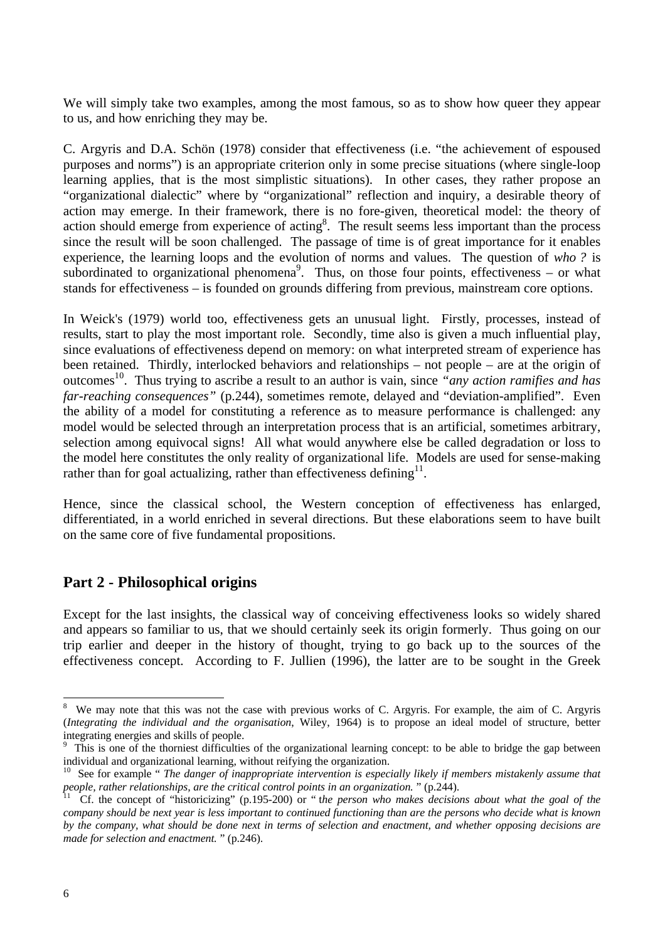We will simply take two examples, among the most famous, so as to show how queer they appear to us, and how enriching they may be.

C. Argyris and D.A. Schön (1978) consider that effectiveness (i.e. "the achievement of espoused purposes and norms") is an appropriate criterion only in some precise situations (where single-loop learning applies, that is the most simplistic situations). In other cases, they rather propose an "organizational dialectic" where by "organizational" reflection and inquiry, a desirable theory of action may emerge. In their framework, there is no fore-given, theoretical model: the theory of action should emerge from experience of acting<sup>8</sup>. The result seems less important than the process since the result will be soon challenged. The passage of time is of great importance for it enables experience, the learning loops and the evolution of norms and values. The question of *who ?* is subordinated to organizational phenomena<sup>9</sup>. Thus, on those four points, effectiveness – or what stands for effectiveness – is founded on grounds differing from previous, mainstream core options.

In Weick's (1979) world too, effectiveness gets an unusual light. Firstly, processes, instead of results, start to play the most important role. Secondly, time also is given a much influential play, since evaluations of effectiveness depend on memory: on what interpreted stream of experience has been retained. Thirdly, interlocked behaviors and relationships – not people – are at the origin of outcomes<sup>10</sup>. Thus trying to ascribe a result to an author is vain, since "*any action ramifies and has far-reaching consequences"* (p.244), sometimes remote, delayed and "deviation-amplified". Even the ability of a model for constituting a reference as to measure performance is challenged: any model would be selected through an interpretation process that is an artificial, sometimes arbitrary, selection among equivocal signs! All what would anywhere else be called degradation or loss to the model here constitutes the only reality of organizational life. Models are used for sense-making rather than for goal actualizing, rather than effectiveness defining $^{11}$ .

Hence, since the classical school, the Western conception of effectiveness has enlarged, differentiated, in a world enriched in several directions. But these elaborations seem to have built on the same core of five fundamental propositions.

# **Part 2 - Philosophical origins**

Except for the last insights, the classical way of conceiving effectiveness looks so widely shared and appears so familiar to us, that we should certainly seek its origin formerly. Thus going on our trip earlier and deeper in the history of thought, trying to go back up to the sources of the effectiveness concept. According to F. Jullien (1996), the latter are to be sought in the Greek

<sup>8</sup> We may note that this was not the case with previous works of C. Argyris. For example, the aim of C. Argyris (*Integrating the individual and the organisation*, Wiley, 1964) is to propose an ideal model of structure, better integrating energies and skills of people.

<sup>&</sup>lt;sup>9</sup> This is one of the thorniest difficulties of the organizational learning concept: to be able to bridge the gap between individual and organizational learning, without reifying the organization.

<sup>&</sup>lt;sup>10</sup> See for example " *The danger of inappropriate intervention is especially likely if members mistakenly assume that people, rather relationships, are the critical control points in an organization.* " (p.244).

<sup>&</sup>lt;sup>11</sup> Cf. the concept of "historicizing" (p.195-200) or " the person who makes decisions about what the goal of the *company should be next year is less important to continued functioning than are the persons who decide what is known by the company, what should be done next in terms of selection and enactment, and whether opposing decisions are made for selection and enactment.* " (p.246).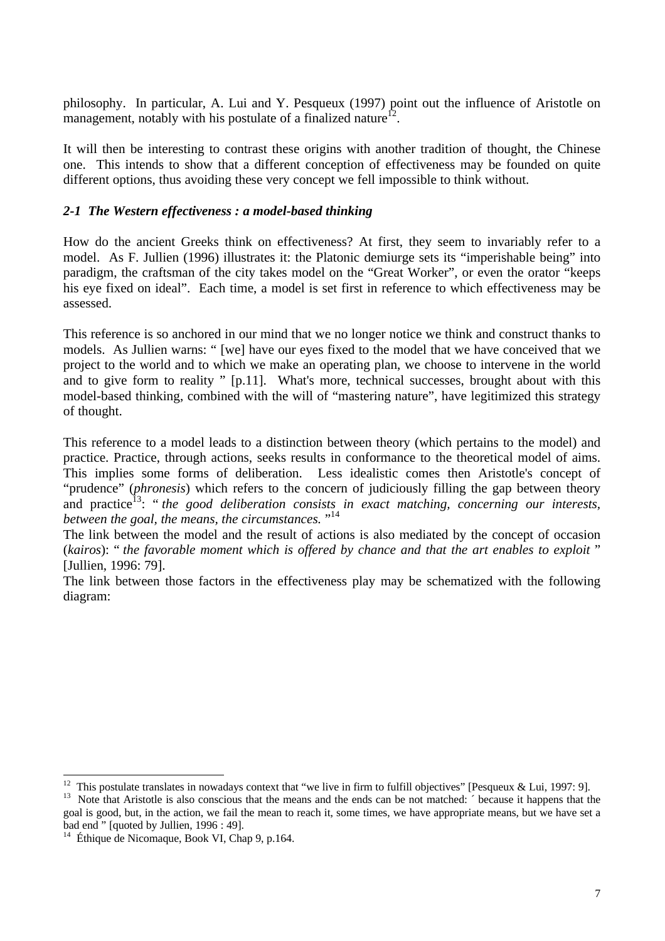philosophy. In particular, A. Lui and Y. Pesqueux (1997) point out the influence of Aristotle on management, notably with his postulate of a finalized nature<sup>12</sup>.

It will then be interesting to contrast these origins with another tradition of thought, the Chinese one. This intends to show that a different conception of effectiveness may be founded on quite different options, thus avoiding these very concept we fell impossible to think without.

## *2-1 The Western effectiveness : a model-based thinking*

How do the ancient Greeks think on effectiveness? At first, they seem to invariably refer to a model. As F. Jullien (1996) illustrates it: the Platonic demiurge sets its "imperishable being" into paradigm, the craftsman of the city takes model on the "Great Worker", or even the orator "keeps his eye fixed on ideal". Each time, a model is set first in reference to which effectiveness may be assessed.

This reference is so anchored in our mind that we no longer notice we think and construct thanks to models. As Jullien warns: " [we] have our eyes fixed to the model that we have conceived that we project to the world and to which we make an operating plan, we choose to intervene in the world and to give form to reality " [p.11]. What's more, technical successes, brought about with this model-based thinking, combined with the will of "mastering nature", have legitimized this strategy of thought.

This reference to a model leads to a distinction between theory (which pertains to the model) and practice. Practice, through actions, seeks results in conformance to the theoretical model of aims. This implies some forms of deliberation. Less idealistic comes then Aristotle's concept of "prudence" (*phronesis*) which refers to the concern of judiciously filling the gap between theory and practice<sup>13</sup>: "*the good deliberation consists in exact matching, concerning our interests, between the goal, the means, the circumstances.* "<sup>14</sup>

The link between the model and the result of actions is also mediated by the concept of occasion (*kairos*): " *the favorable moment which is offered by chance and that the art enables to exploit* " [Jullien, 1996: 79].

The link between those factors in the effectiveness play may be schematized with the following diagram:

<sup>13</sup> Note that Aristotle is also conscious that the means and the ends can be not matched: ´ because it happens that the goal is good, but, in the action, we fail the mean to reach it, some times, we have appropriate means, but we have set a bad end " [quoted by Jullien, 1996 : 49].

<sup>&</sup>lt;sup>12</sup> This postulate translates in nowadays context that "we live in firm to fulfill objectives" [Pesqueux & Lui, 1997: 9].

 $14$  Éthique de Nicomaque, Book VI, Chap 9, p.164.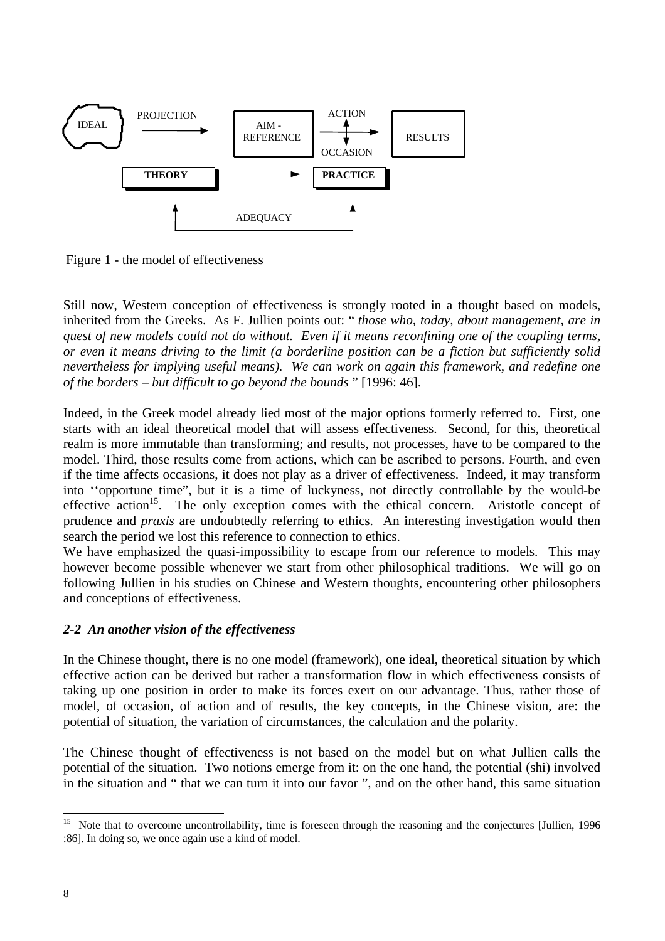

Figure 1 - the model of effectiveness

Still now, Western conception of effectiveness is strongly rooted in a thought based on models, inherited from the Greeks. As F. Jullien points out: " *those who, today, about management, are in quest of new models could not do without. Even if it means reconfining one of the coupling terms, or even it means driving to the limit (a borderline position can be a fiction but sufficiently solid nevertheless for implying useful means). We can work on again this framework, and redefine one of the borders – but difficult to go beyond the bounds* " [1996: 46].

Indeed, in the Greek model already lied most of the major options formerly referred to. First, one starts with an ideal theoretical model that will assess effectiveness. Second, for this, theoretical realm is more immutable than transforming; and results, not processes, have to be compared to the model. Third, those results come from actions, which can be ascribed to persons. Fourth, and even if the time affects occasions, it does not play as a driver of effectiveness. Indeed, it may transform into ''opportune time", but it is a time of luckyness, not directly controllable by the would-be effective action<sup>15</sup>. The only exception comes with the ethical concern. Aristotle concept of prudence and *praxis* are undoubtedly referring to ethics. An interesting investigation would then search the period we lost this reference to connection to ethics.

We have emphasized the quasi-impossibility to escape from our reference to models. This may however become possible whenever we start from other philosophical traditions. We will go on following Jullien in his studies on Chinese and Western thoughts, encountering other philosophers and conceptions of effectiveness.

# *2-2 An another vision of the effectiveness*

In the Chinese thought, there is no one model (framework), one ideal, theoretical situation by which effective action can be derived but rather a transformation flow in which effectiveness consists of taking up one position in order to make its forces exert on our advantage. Thus, rather those of model, of occasion, of action and of results, the key concepts, in the Chinese vision, are: the potential of situation, the variation of circumstances, the calculation and the polarity.

The Chinese thought of effectiveness is not based on the model but on what Jullien calls the potential of the situation. Two notions emerge from it: on the one hand, the potential (shi) involved in the situation and " that we can turn it into our favor ", and on the other hand, this same situation

<sup>15</sup> Note that to overcome uncontrollability, time is foreseen through the reasoning and the conjectures [Jullien, 1996 :86]. In doing so, we once again use a kind of model.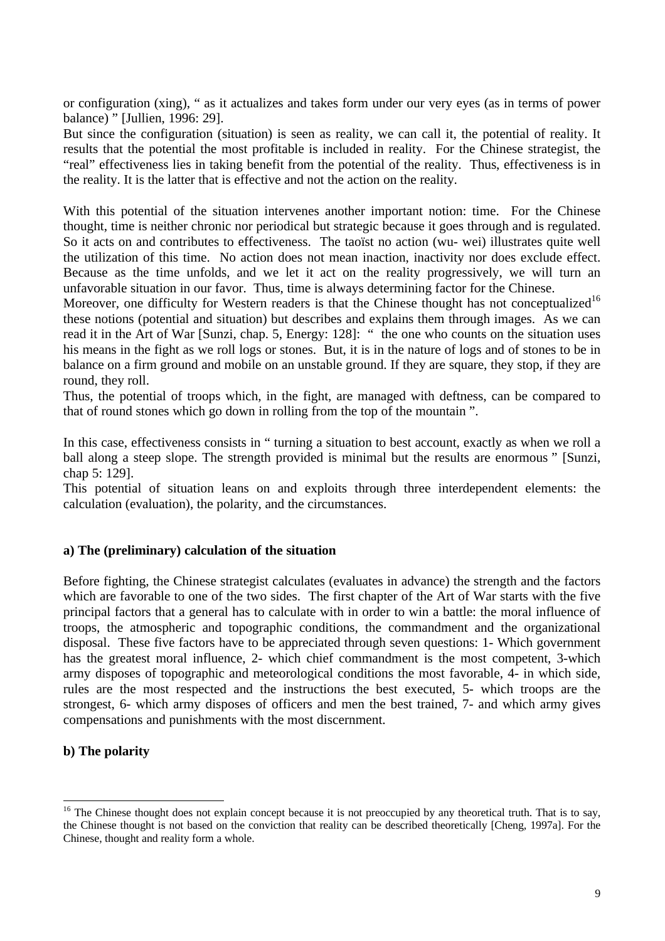or configuration (xing), " as it actualizes and takes form under our very eyes (as in terms of power balance) " [Jullien, 1996: 29].

But since the configuration (situation) is seen as reality, we can call it, the potential of reality. It results that the potential the most profitable is included in reality. For the Chinese strategist, the "real" effectiveness lies in taking benefit from the potential of the reality. Thus, effectiveness is in the reality. It is the latter that is effective and not the action on the reality.

With this potential of the situation intervenes another important notion: time. For the Chinese thought, time is neither chronic nor periodical but strategic because it goes through and is regulated. So it acts on and contributes to effectiveness. The taoïst no action (wu- wei) illustrates quite well the utilization of this time. No action does not mean inaction, inactivity nor does exclude effect. Because as the time unfolds, and we let it act on the reality progressively, we will turn an unfavorable situation in our favor. Thus, time is always determining factor for the Chinese.

Moreover, one difficulty for Western readers is that the Chinese thought has not conceptualized<sup>16</sup> these notions (potential and situation) but describes and explains them through images. As we can read it in the Art of War [Sunzi, chap. 5, Energy: 128]: " the one who counts on the situation uses his means in the fight as we roll logs or stones. But, it is in the nature of logs and of stones to be in balance on a firm ground and mobile on an unstable ground. If they are square, they stop, if they are round, they roll.

Thus, the potential of troops which, in the fight, are managed with deftness, can be compared to that of round stones which go down in rolling from the top of the mountain ".

In this case, effectiveness consists in " turning a situation to best account, exactly as when we roll a ball along a steep slope. The strength provided is minimal but the results are enormous " [Sunzi, chap 5: 129].

This potential of situation leans on and exploits through three interdependent elements: the calculation (evaluation), the polarity, and the circumstances.

#### **a) The (preliminary) calculation of the situation**

Before fighting, the Chinese strategist calculates (evaluates in advance) the strength and the factors which are favorable to one of the two sides. The first chapter of the Art of War starts with the five principal factors that a general has to calculate with in order to win a battle: the moral influence of troops, the atmospheric and topographic conditions, the commandment and the organizational disposal. These five factors have to be appreciated through seven questions: 1- Which government has the greatest moral influence, 2- which chief commandment is the most competent, 3-which army disposes of topographic and meteorological conditions the most favorable, 4- in which side, rules are the most respected and the instructions the best executed, 5- which troops are the strongest, 6- which army disposes of officers and men the best trained, 7- and which army gives compensations and punishments with the most discernment.

#### **b) The polarity**

<sup>&</sup>lt;sup>16</sup> The Chinese thought does not explain concept because it is not preoccupied by any theoretical truth. That is to say, the Chinese thought is not based on the conviction that reality can be described theoretically [Cheng, 1997a]. For the Chinese, thought and reality form a whole.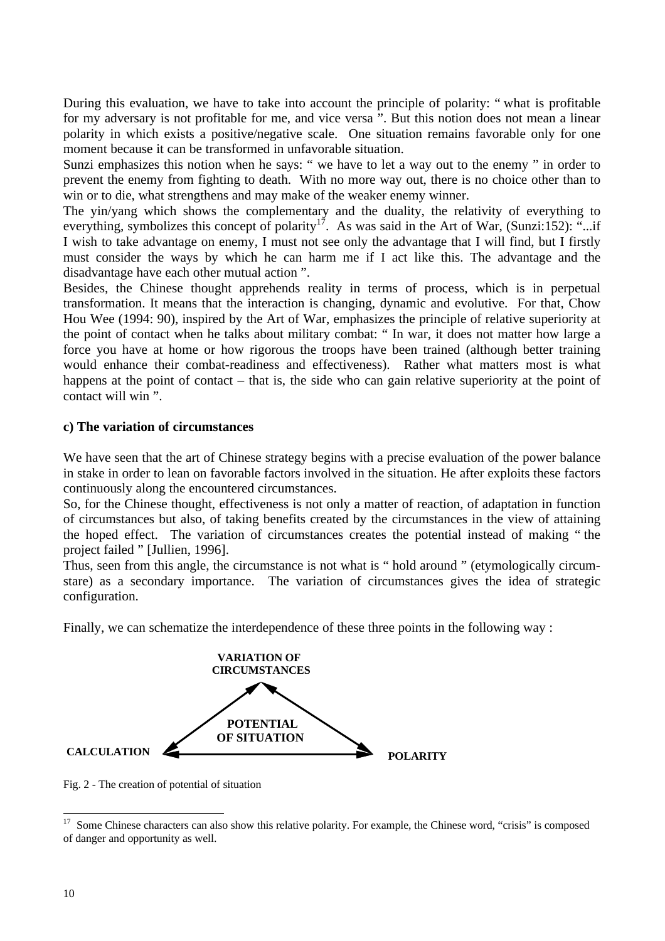During this evaluation, we have to take into account the principle of polarity: " what is profitable for my adversary is not profitable for me, and vice versa ". But this notion does not mean a linear polarity in which exists a positive/negative scale. One situation remains favorable only for one moment because it can be transformed in unfavorable situation.

Sunzi emphasizes this notion when he says: " we have to let a way out to the enemy " in order to prevent the enemy from fighting to death. With no more way out, there is no choice other than to win or to die, what strengthens and may make of the weaker enemy winner.

The yin/yang which shows the complementary and the duality, the relativity of everything to everything, symbolizes this concept of polarity<sup>17</sup>. As was said in the Art of War, (Sunzi:152): "...if I wish to take advantage on enemy, I must not see only the advantage that I will find, but I firstly must consider the ways by which he can harm me if I act like this. The advantage and the disadvantage have each other mutual action ".

Besides, the Chinese thought apprehends reality in terms of process, which is in perpetual transformation. It means that the interaction is changing, dynamic and evolutive. For that, Chow Hou Wee (1994: 90), inspired by the Art of War, emphasizes the principle of relative superiority at the point of contact when he talks about military combat: " In war, it does not matter how large a force you have at home or how rigorous the troops have been trained (although better training would enhance their combat-readiness and effectiveness). Rather what matters most is what happens at the point of contact – that is, the side who can gain relative superiority at the point of contact will win ".

#### **c) The variation of circumstances**

We have seen that the art of Chinese strategy begins with a precise evaluation of the power balance in stake in order to lean on favorable factors involved in the situation. He after exploits these factors continuously along the encountered circumstances.

So, for the Chinese thought, effectiveness is not only a matter of reaction, of adaptation in function of circumstances but also, of taking benefits created by the circumstances in the view of attaining the hoped effect. The variation of circumstances creates the potential instead of making " the project failed " [Jullien, 1996].

Thus, seen from this angle, the circumstance is not what is " hold around " (etymologically circumstare) as a secondary importance. The variation of circumstances gives the idea of strategic configuration.

Finally, we can schematize the interdependence of these three points in the following way :



Fig. 2 - The creation of potential of situation

<sup>17</sup> Some Chinese characters can also show this relative polarity. For example, the Chinese word, "crisis" is composed of danger and opportunity as well.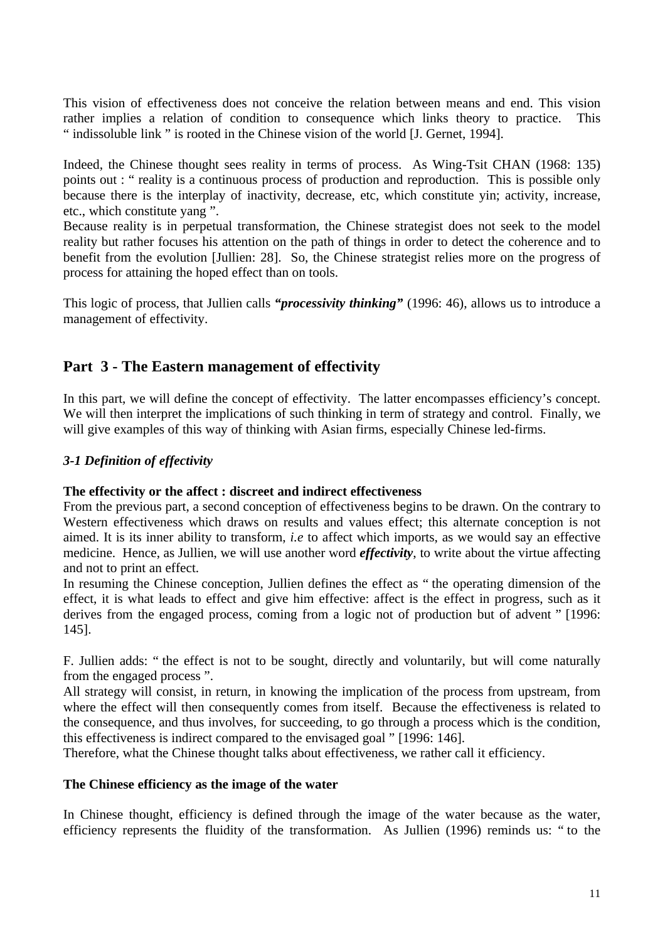This vision of effectiveness does not conceive the relation between means and end. This vision rather implies a relation of condition to consequence which links theory to practice. This " indissoluble link " is rooted in the Chinese vision of the world [J. Gernet, 1994].

Indeed, the Chinese thought sees reality in terms of process. As Wing-Tsit CHAN (1968: 135) points out : " reality is a continuous process of production and reproduction. This is possible only because there is the interplay of inactivity, decrease, etc, which constitute yin; activity, increase, etc., which constitute yang ".

Because reality is in perpetual transformation, the Chinese strategist does not seek to the model reality but rather focuses his attention on the path of things in order to detect the coherence and to benefit from the evolution [Jullien: 28]. So, the Chinese strategist relies more on the progress of process for attaining the hoped effect than on tools.

This logic of process, that Jullien calls *"processivity thinking"* (1996: 46), allows us to introduce a management of effectivity.

# **Part 3 - The Eastern management of effectivity**

In this part, we will define the concept of effectivity. The latter encompasses efficiency's concept. We will then interpret the implications of such thinking in term of strategy and control. Finally, we will give examples of this way of thinking with Asian firms, especially Chinese led-firms.

# *3-1 Definition of effectivity*

#### **The effectivity or the affect : discreet and indirect effectiveness**

From the previous part, a second conception of effectiveness begins to be drawn. On the contrary to Western effectiveness which draws on results and values effect; this alternate conception is not aimed. It is its inner ability to transform, *i.e* to affect which imports, as we would say an effective medicine. Hence, as Jullien, we will use another word *effectivity*, to write about the virtue affecting and not to print an effect.

In resuming the Chinese conception, Jullien defines the effect as " the operating dimension of the effect, it is what leads to effect and give him effective: affect is the effect in progress, such as it derives from the engaged process, coming from a logic not of production but of advent " [1996: 145].

F. Jullien adds: " the effect is not to be sought, directly and voluntarily, but will come naturally from the engaged process ".

All strategy will consist, in return, in knowing the implication of the process from upstream, from where the effect will then consequently comes from itself. Because the effectiveness is related to the consequence, and thus involves, for succeeding, to go through a process which is the condition, this effectiveness is indirect compared to the envisaged goal " [1996: 146].

Therefore, what the Chinese thought talks about effectiveness, we rather call it efficiency.

#### **The Chinese efficiency as the image of the water**

In Chinese thought, efficiency is defined through the image of the water because as the water, efficiency represents the fluidity of the transformation. As Jullien (1996) reminds us: " to the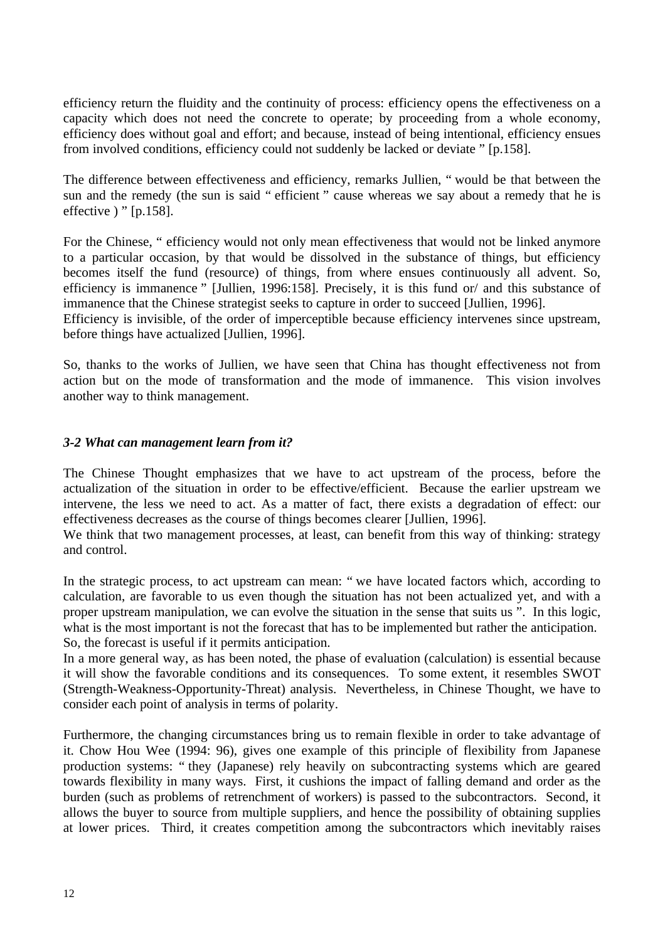efficiency return the fluidity and the continuity of process: efficiency opens the effectiveness on a capacity which does not need the concrete to operate; by proceeding from a whole economy, efficiency does without goal and effort; and because, instead of being intentional, efficiency ensues from involved conditions, efficiency could not suddenly be lacked or deviate " [p.158].

The difference between effectiveness and efficiency, remarks Jullien, " would be that between the sun and the remedy (the sun is said " efficient " cause whereas we say about a remedy that he is effective ) " [p.158].

For the Chinese, " efficiency would not only mean effectiveness that would not be linked anymore to a particular occasion, by that would be dissolved in the substance of things, but efficiency becomes itself the fund (resource) of things, from where ensues continuously all advent. So, efficiency is immanence " [Jullien, 1996:158]. Precisely, it is this fund or/ and this substance of immanence that the Chinese strategist seeks to capture in order to succeed [Jullien, 1996]. Efficiency is invisible, of the order of imperceptible because efficiency intervenes since upstream,

before things have actualized [Jullien, 1996].

So, thanks to the works of Jullien, we have seen that China has thought effectiveness not from action but on the mode of transformation and the mode of immanence. This vision involves another way to think management.

# *3-2 What can management learn from it?*

The Chinese Thought emphasizes that we have to act upstream of the process, before the actualization of the situation in order to be effective/efficient. Because the earlier upstream we intervene, the less we need to act. As a matter of fact, there exists a degradation of effect: our effectiveness decreases as the course of things becomes clearer [Jullien, 1996].

We think that two management processes, at least, can benefit from this way of thinking: strategy and control.

In the strategic process, to act upstream can mean: " we have located factors which, according to calculation, are favorable to us even though the situation has not been actualized yet, and with a proper upstream manipulation, we can evolve the situation in the sense that suits us ". In this logic, what is the most important is not the forecast that has to be implemented but rather the anticipation. So, the forecast is useful if it permits anticipation.

In a more general way, as has been noted, the phase of evaluation (calculation) is essential because it will show the favorable conditions and its consequences. To some extent, it resembles SWOT (Strength-Weakness-Opportunity-Threat) analysis. Nevertheless, in Chinese Thought, we have to consider each point of analysis in terms of polarity.

Furthermore, the changing circumstances bring us to remain flexible in order to take advantage of it. Chow Hou Wee (1994: 96), gives one example of this principle of flexibility from Japanese production systems: " they (Japanese) rely heavily on subcontracting systems which are geared towards flexibility in many ways. First, it cushions the impact of falling demand and order as the burden (such as problems of retrenchment of workers) is passed to the subcontractors. Second, it allows the buyer to source from multiple suppliers, and hence the possibility of obtaining supplies at lower prices. Third, it creates competition among the subcontractors which inevitably raises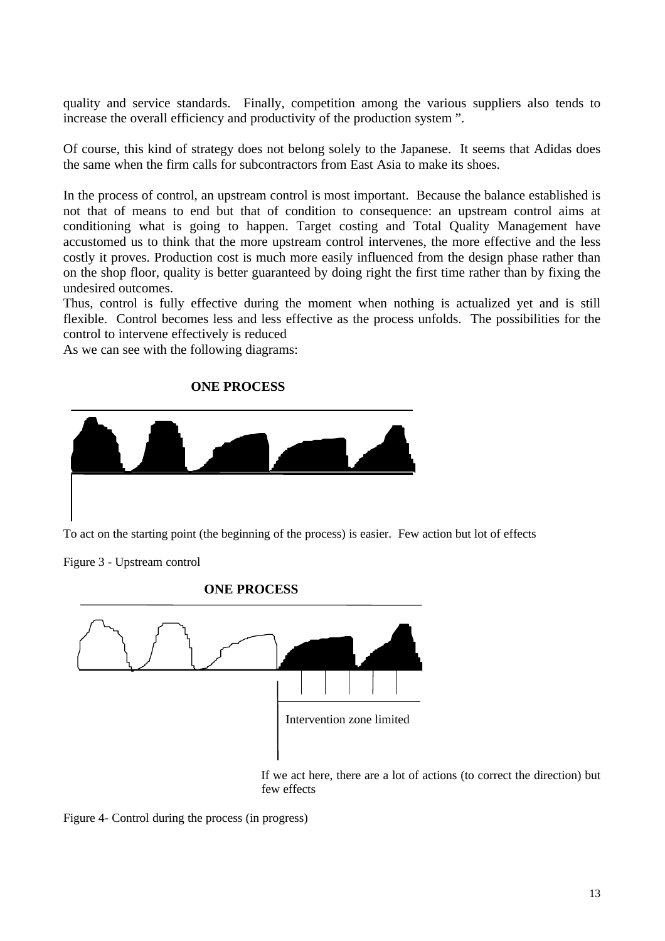quality and service standards. Finally, competition among the various suppliers also tends to increase the overall efficiency and productivity of the production system ".

Of course, this kind of strategy does not belong solely to the Japanese. It seems that Adidas does the same when the firm calls for subcontractors from East Asia to make its shoes.

In the process of control, an upstream control is most important. Because the balance established is not that of means to end but that of condition to consequence: an upstream control aims at conditioning what is going to happen. Target costing and Total Quality Management have accustomed us to think that the more upstream control intervenes, the more effective and the less costly it proves. Production cost is much more easily influenced from the design phase rather than on the shop floor, quality is better guaranteed by doing right the first time rather than by fixing the undesired outcomes.

Thus, control is fully effective during the moment when nothing is actualized yet and is still flexible. Control becomes less and less effective as the process unfolds. The possibilities for the control to intervene effectively is reduced

As we can see with the following diagrams:

#### **ONE PROCESS**



Figure 3 - Upstream control



**ONE PROCESS**

If we act here, there are a lot of actions (to correct the direction) but few effects

Figure 4- Control during the process (in progress)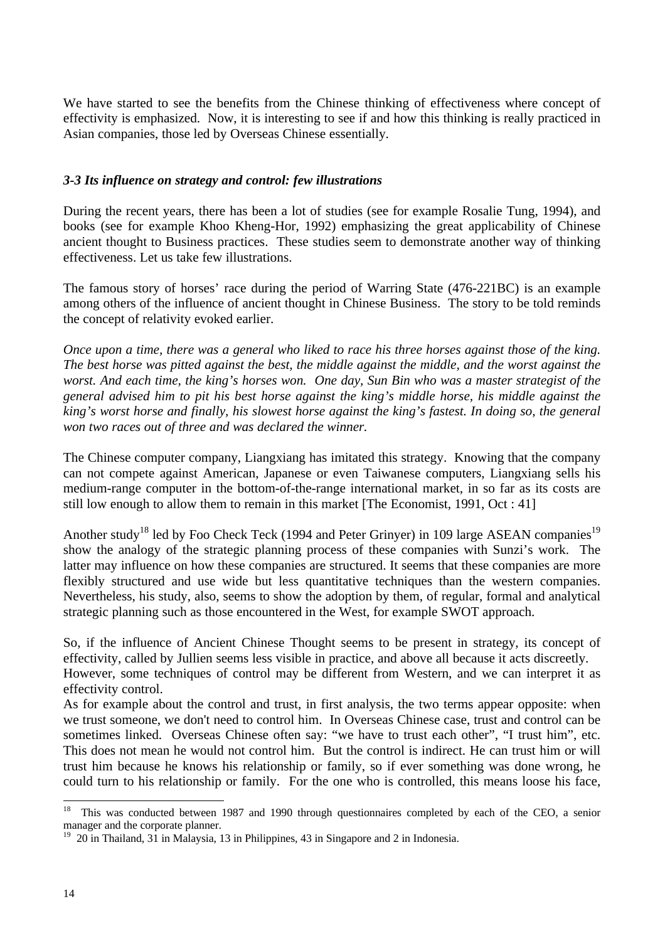We have started to see the benefits from the Chinese thinking of effectiveness where concept of effectivity is emphasized. Now, it is interesting to see if and how this thinking is really practiced in Asian companies, those led by Overseas Chinese essentially.

## *3-3 Its influence on strategy and control: few illustrations*

During the recent years, there has been a lot of studies (see for example Rosalie Tung, 1994), and books (see for example Khoo Kheng-Hor, 1992) emphasizing the great applicability of Chinese ancient thought to Business practices. These studies seem to demonstrate another way of thinking effectiveness. Let us take few illustrations.

The famous story of horses' race during the period of Warring State (476-221BC) is an example among others of the influence of ancient thought in Chinese Business. The story to be told reminds the concept of relativity evoked earlier.

*Once upon a time, there was a general who liked to race his three horses against those of the king. The best horse was pitted against the best, the middle against the middle, and the worst against the worst. And each time, the king's horses won. One day, Sun Bin who was a master strategist of the general advised him to pit his best horse against the king's middle horse, his middle against the king's worst horse and finally, his slowest horse against the king's fastest. In doing so, the general won two races out of three and was declared the winner.*

The Chinese computer company, Liangxiang has imitated this strategy. Knowing that the company can not compete against American, Japanese or even Taiwanese computers, Liangxiang sells his medium-range computer in the bottom-of-the-range international market, in so far as its costs are still low enough to allow them to remain in this market [The Economist, 1991, Oct : 41]

Another study<sup>18</sup> led by Foo Check Teck (1994 and Peter Grinyer) in 109 large ASEAN companies<sup>19</sup> show the analogy of the strategic planning process of these companies with Sunzi's work. The latter may influence on how these companies are structured. It seems that these companies are more flexibly structured and use wide but less quantitative techniques than the western companies. Nevertheless, his study, also, seems to show the adoption by them, of regular, formal and analytical strategic planning such as those encountered in the West, for example SWOT approach.

So, if the influence of Ancient Chinese Thought seems to be present in strategy, its concept of effectivity, called by Jullien seems less visible in practice, and above all because it acts discreetly.

However, some techniques of control may be different from Western, and we can interpret it as effectivity control.

As for example about the control and trust, in first analysis, the two terms appear opposite: when we trust someone, we don't need to control him. In Overseas Chinese case, trust and control can be sometimes linked. Overseas Chinese often say: "we have to trust each other", "I trust him", etc. This does not mean he would not control him. But the control is indirect. He can trust him or will trust him because he knows his relationship or family, so if ever something was done wrong, he could turn to his relationship or family. For the one who is controlled, this means loose his face,

<sup>&</sup>lt;sup>18</sup> This was conducted between 1987 and 1990 through questionnaires completed by each of the CEO, a senior manager and the corporate planner.

 $19$  20 in Thailand, 31 in Malaysia, 13 in Philippines, 43 in Singapore and 2 in Indonesia.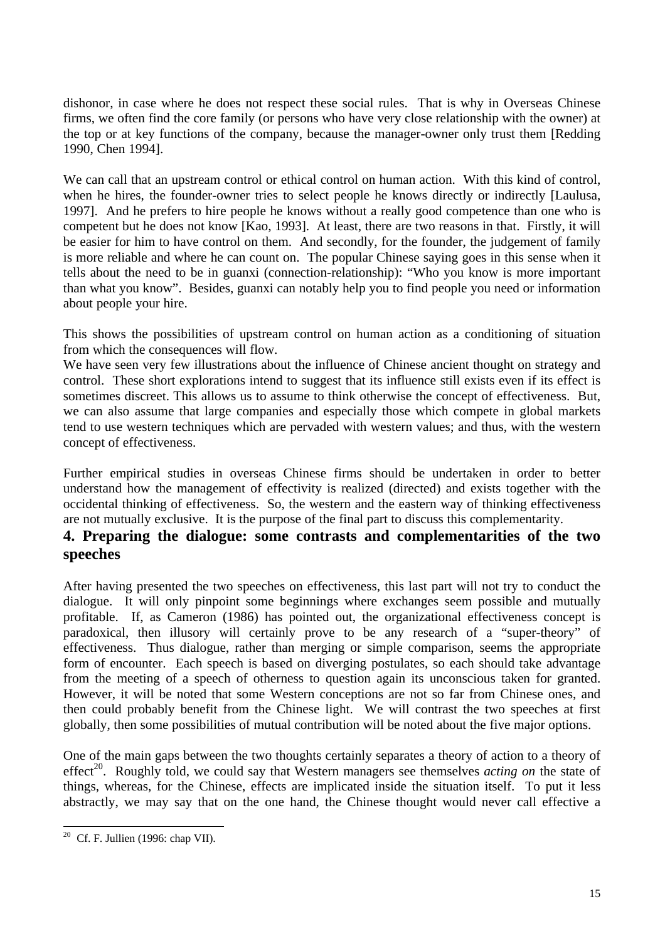dishonor, in case where he does not respect these social rules. That is why in Overseas Chinese firms, we often find the core family (or persons who have very close relationship with the owner) at the top or at key functions of the company, because the manager-owner only trust them [Redding 1990, Chen 1994].

We can call that an upstream control or ethical control on human action. With this kind of control, when he hires, the founder-owner tries to select people he knows directly or indirectly [Laulusa, 1997]. And he prefers to hire people he knows without a really good competence than one who is competent but he does not know [Kao, 1993]. At least, there are two reasons in that. Firstly, it will be easier for him to have control on them. And secondly, for the founder, the judgement of family is more reliable and where he can count on. The popular Chinese saying goes in this sense when it tells about the need to be in guanxi (connection-relationship): "Who you know is more important than what you know". Besides, guanxi can notably help you to find people you need or information about people your hire.

This shows the possibilities of upstream control on human action as a conditioning of situation from which the consequences will flow.

We have seen very few illustrations about the influence of Chinese ancient thought on strategy and control. These short explorations intend to suggest that its influence still exists even if its effect is sometimes discreet. This allows us to assume to think otherwise the concept of effectiveness. But, we can also assume that large companies and especially those which compete in global markets tend to use western techniques which are pervaded with western values; and thus, with the western concept of effectiveness.

Further empirical studies in overseas Chinese firms should be undertaken in order to better understand how the management of effectivity is realized (directed) and exists together with the occidental thinking of effectiveness. So, the western and the eastern way of thinking effectiveness are not mutually exclusive. It is the purpose of the final part to discuss this complementarity.

# **4. Preparing the dialogue: some contrasts and complementarities of the two speeches**

After having presented the two speeches on effectiveness, this last part will not try to conduct the dialogue. It will only pinpoint some beginnings where exchanges seem possible and mutually profitable. If, as Cameron (1986) has pointed out, the organizational effectiveness concept is paradoxical, then illusory will certainly prove to be any research of a "super-theory" of effectiveness. Thus dialogue, rather than merging or simple comparison, seems the appropriate form of encounter. Each speech is based on diverging postulates, so each should take advantage from the meeting of a speech of otherness to question again its unconscious taken for granted. However, it will be noted that some Western conceptions are not so far from Chinese ones, and then could probably benefit from the Chinese light. We will contrast the two speeches at first globally, then some possibilities of mutual contribution will be noted about the five major options.

One of the main gaps between the two thoughts certainly separates a theory of action to a theory of effect<sup>20</sup>. Roughly told, we could say that Western managers see themselves *acting on* the state of things, whereas, for the Chinese, effects are implicated inside the situation itself. To put it less abstractly, we may say that on the one hand, the Chinese thought would never call effective a

 $\overline{a}$  $20$  Cf. F. Jullien (1996: chap VII).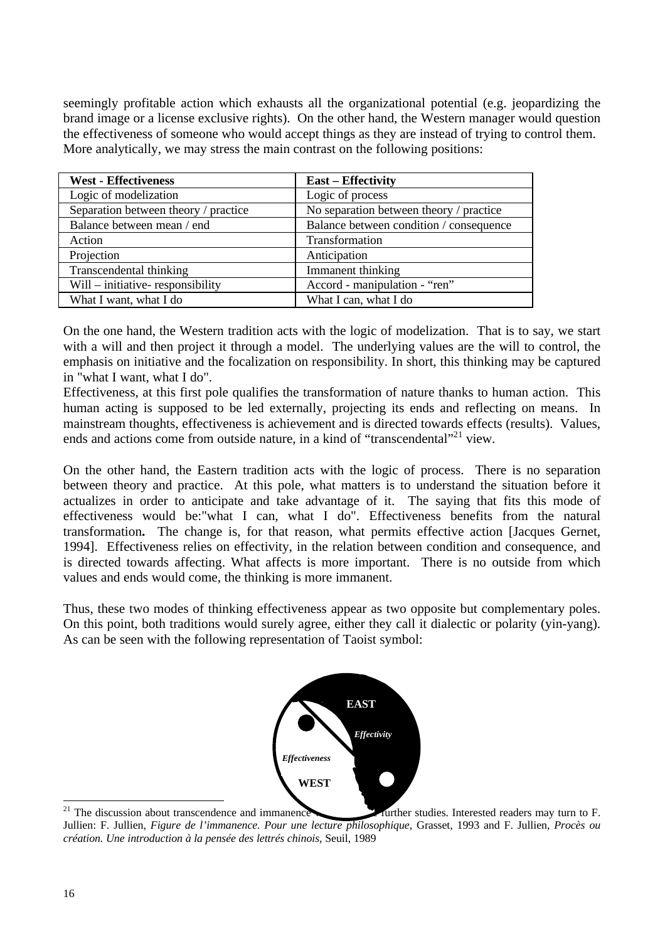seemingly profitable action which exhausts all the organizational potential (e.g. jeopardizing the brand image or a license exclusive rights). On the other hand, the Western manager would question the effectiveness of someone who would accept things as they are instead of trying to control them. More analytically, we may stress the main contrast on the following positions:

| <b>West - Effectiveness</b>          | <b>East – Effectivity</b>               |
|--------------------------------------|-----------------------------------------|
| Logic of modelization                | Logic of process                        |
| Separation between theory / practice | No separation between theory / practice |
| Balance between mean / end           | Balance between condition / consequence |
| Action                               | Transformation                          |
| Projection                           | Anticipation                            |
| Transcendental thinking              | Immanent thinking                       |
| Will – initiative-responsibility     | Accord - manipulation - "ren"           |
| What I want, what I do               | What I can, what I do                   |

On the one hand, the Western tradition acts with the logic of modelization. That is to say, we start with a will and then project it through a model. The underlying values are the will to control, the emphasis on initiative and the focalization on responsibility. In short, this thinking may be captured in "what I want, what I do".

Effectiveness, at this first pole qualifies the transformation of nature thanks to human action. This human acting is supposed to be led externally, projecting its ends and reflecting on means. In mainstream thoughts, effectiveness is achievement and is directed towards effects (results). Values, ends and actions come from outside nature, in a kind of "transcendental"<sup>21</sup> view.

On the other hand, the Eastern tradition acts with the logic of process. There is no separation between theory and practice. At this pole, what matters is to understand the situation before it actualizes in order to anticipate and take advantage of it.The saying that fits this mode of effectiveness would be:"what I can, what I do". Effectiveness benefits from the natural transformation**.** The change is, for that reason, what permits effective action [Jacques Gernet, 1994]. Effectiveness relies on effectivity, in the relation between condition and consequence, and is directed towards affecting. What affects is more important. There is no outside from which values and ends would come, the thinking is more immanent.

Thus, these two modes of thinking effectiveness appear as two opposite but complementary poles. On this point, both traditions would surely agree, either they call it dialectic or polarity (yin-yang). As can be seen with the following representation of Taoist symbol:



<sup>&</sup>lt;sup>21</sup> The discussion about transcendence and immanence would require further studies. Interested readers may turn to F. Jullien: F. Jullien, *Figure de l'immanence. Pour une lecture philosophique*, Grasset, 1993 and F. Jullien, *Procès ou création. Une introduction à la pensée des lettrés chinois*, Seuil, 1989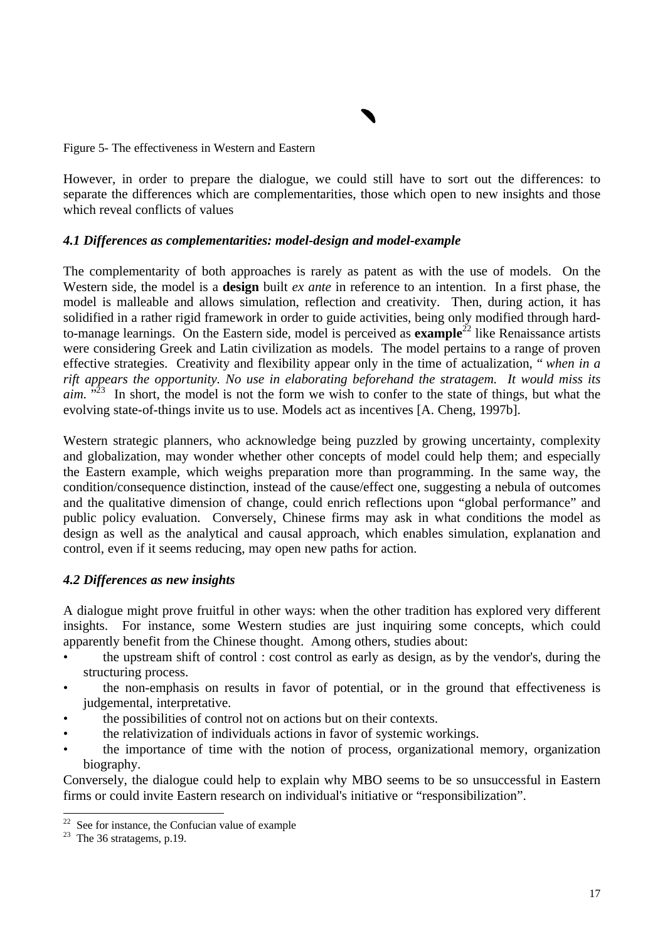Figure 5- The effectiveness in Western and Eastern

However, in order to prepare the dialogue, we could still have to sort out the differences: to separate the differences which are complementarities, those which open to new insights and those which reveal conflicts of values

#### *4.1 Differences as complementarities: model-design and model-example*

The complementarity of both approaches is rarely as patent as with the use of models. On the Western side, the model is a **design** built *ex ante* in reference to an intention. In a first phase, the model is malleable and allows simulation, reflection and creativity. Then, during action, it has solidified in a rather rigid framework in order to guide activities, being only modified through hardto-manage learnings. On the Eastern side, model is perceived as **example**<sup>22</sup> like Renaissance artists were considering Greek and Latin civilization as models. The model pertains to a range of proven effective strategies. Creativity and flexibility appear only in the time of actualization, " *when in a rift appears the opportunity. No use in elaborating beforehand the stratagem. It would miss its aim.* "<sup>23</sup> In short, the model is not the form we wish to confer to the state of things, but what the evolving state-of-things invite us to use. Models act as incentives [A. Cheng, 1997b].

Western strategic planners, who acknowledge being puzzled by growing uncertainty, complexity and globalization, may wonder whether other concepts of model could help them; and especially the Eastern example, which weighs preparation more than programming. In the same way, the condition/consequence distinction, instead of the cause/effect one, suggesting a nebula of outcomes and the qualitative dimension of change, could enrich reflections upon "global performance" and public policy evaluation. Conversely, Chinese firms may ask in what conditions the model as design as well as the analytical and causal approach, which enables simulation, explanation and control, even if it seems reducing, may open new paths for action.

#### *4.2 Differences as new insights*

A dialogue might prove fruitful in other ways: when the other tradition has explored very different insights. For instance, some Western studies are just inquiring some concepts, which could apparently benefit from the Chinese thought. Among others, studies about:

- the upstream shift of control : cost control as early as design, as by the vendor's, during the structuring process.
- the non-emphasis on results in favor of potential, or in the ground that effectiveness is judgemental, interpretative.
- the possibilities of control not on actions but on their contexts.
- the relativization of individuals actions in favor of systemic workings.
- the importance of time with the notion of process, organizational memory, organization biography.

Conversely, the dialogue could help to explain why MBO seems to be so unsuccessful in Eastern firms or could invite Eastern research on individual's initiative or "responsibilization".

See for instance, the Confucian value of example

 $23$  The 36 stratagems, p.19.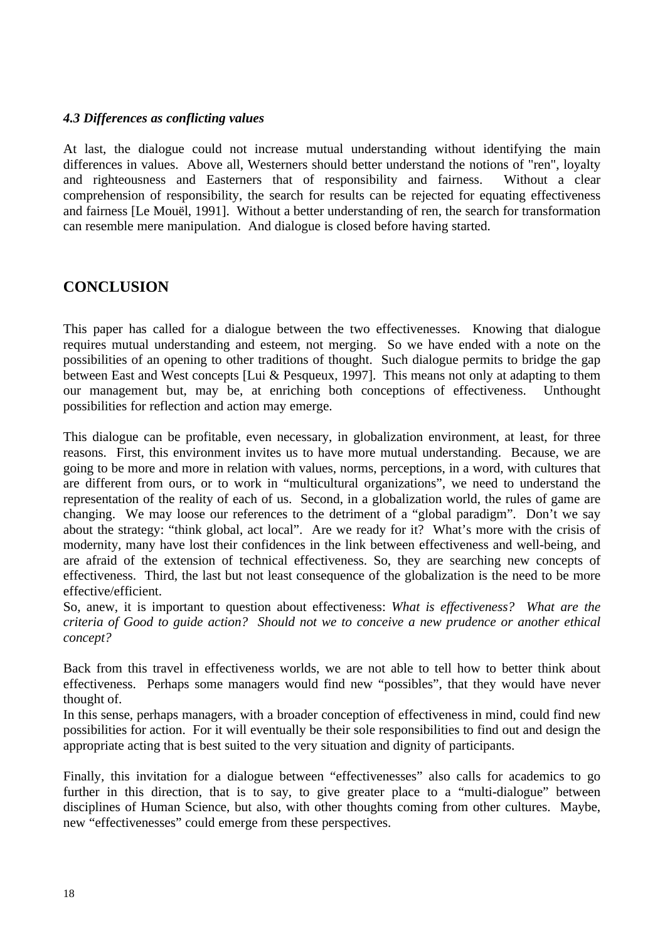## *4.3 Differences as conflicting values*

At last, the dialogue could not increase mutual understanding without identifying the main differences in values. Above all, Westerners should better understand the notions of "ren", loyalty and righteousness and Easterners that of responsibility and fairness. Without a clear comprehension of responsibility, the search for results can be rejected for equating effectiveness and fairness [Le Mouël, 1991]. Without a better understanding of ren, the search for transformation can resemble mere manipulation. And dialogue is closed before having started.

# **CONCLUSION**

This paper has called for a dialogue between the two effectivenesses. Knowing that dialogue requires mutual understanding and esteem, not merging. So we have ended with a note on the possibilities of an opening to other traditions of thought. Such dialogue permits to bridge the gap between East and West concepts [Lui & Pesqueux, 1997]. This means not only at adapting to them our management but, may be, at enriching both conceptions of effectiveness. Unthought possibilities for reflection and action may emerge.

This dialogue can be profitable, even necessary, in globalization environment, at least, for three reasons. First, this environment invites us to have more mutual understanding. Because, we are going to be more and more in relation with values, norms, perceptions, in a word, with cultures that are different from ours, or to work in "multicultural organizations", we need to understand the representation of the reality of each of us. Second, in a globalization world, the rules of game are changing. We may loose our references to the detriment of a "global paradigm". Don't we say about the strategy: "think global, act local". Are we ready for it? What's more with the crisis of modernity, many have lost their confidences in the link between effectiveness and well-being, and are afraid of the extension of technical effectiveness. So, they are searching new concepts of effectiveness. Third, the last but not least consequence of the globalization is the need to be more effective/efficient.

So, anew, it is important to question about effectiveness: *What is effectiveness? What are the criteria of Good to guide action? Should not we to conceive a new prudence or another ethical concept?*

Back from this travel in effectiveness worlds, we are not able to tell how to better think about effectiveness. Perhaps some managers would find new "possibles", that they would have never thought of.

In this sense, perhaps managers, with a broader conception of effectiveness in mind, could find new possibilities for action. For it will eventually be their sole responsibilities to find out and design the appropriate acting that is best suited to the very situation and dignity of participants.

Finally, this invitation for a dialogue between "effectivenesses" also calls for academics to go further in this direction, that is to say, to give greater place to a "multi-dialogue" between disciplines of Human Science, but also, with other thoughts coming from other cultures. Maybe, new "effectivenesses" could emerge from these perspectives.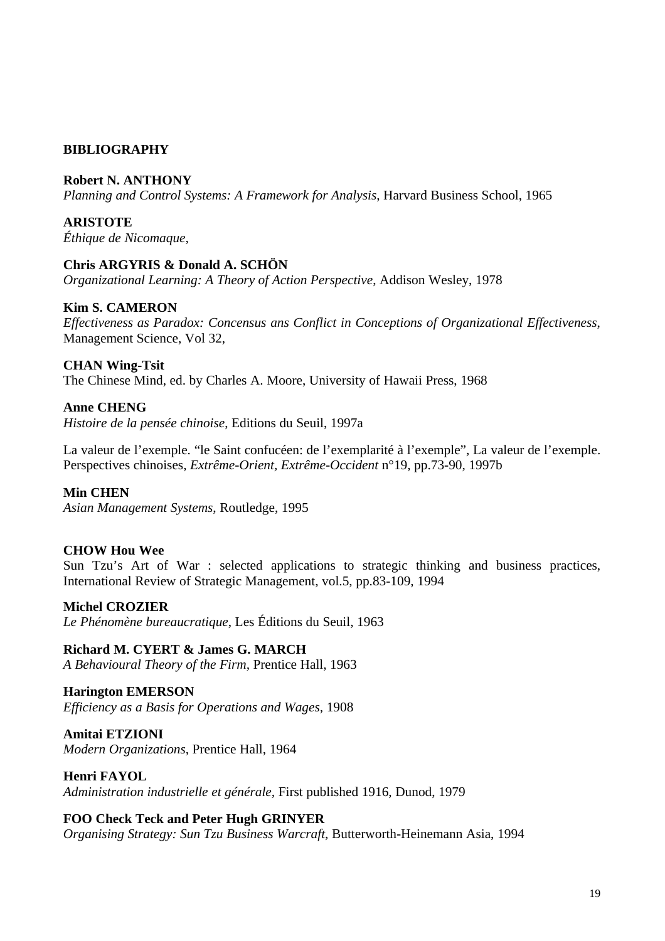# **BIBLIOGRAPHY**

## **Robert N. ANTHONY**

*Planning and Control Systems: A Framework for Analysis*, Harvard Business School, 1965

**ARISTOTE** *Éthique de Nicomaque,*

## **Chris ARGYRIS & Donald A. SCHÖN**

*Organizational Learning: A Theory of Action Perspective*, Addison Wesley, 1978

## **Kim S. CAMERON**

*Effectiveness as Paradox: Concensus ans Conflict in Conceptions of Organizational Effectiveness*, Management Science, Vol 32,

#### **CHAN Wing-Tsit**

The Chinese Mind, ed. by Charles A. Moore, University of Hawaii Press, 1968

#### **Anne CHENG**

*Histoire de la pensée chinoise*, Editions du Seuil, 1997a

La valeur de l'exemple. "le Saint confucéen: de l'exemplarité à l'exemple", La valeur de l'exemple. Perspectives chinoises, *Extrême-Orient, Extrême-Occident* n°19, pp.73-90, 1997b

#### **Min CHEN**

*Asian Management Systems*, Routledge, 1995

# **CHOW Hou Wee**

Sun Tzu's Art of War : selected applications to strategic thinking and business practices, International Review of Strategic Management, vol.5, pp.83-109, 1994

#### **Michel CROZIER**

*Le Phénomène bureaucratique*, Les Éditions du Seuil, 1963

**Richard M. CYERT & James G. MARCH** *A Behavioural Theory of the Firm,* Prentice Hall, 1963

**Harington EMERSON** *Efficiency as a Basis for Operations and Wages,* 1908

**Amitai ETZIONI** *Modern Organizations*, Prentice Hall, 1964

**Henri FAYOL** *Administration industrielle et générale,* First published 1916, Dunod, 1979

#### **FOO Check Teck and Peter Hugh GRINYER**

*Organising Strategy: Sun Tzu Business Warcraft*, Butterworth-Heinemann Asia, 1994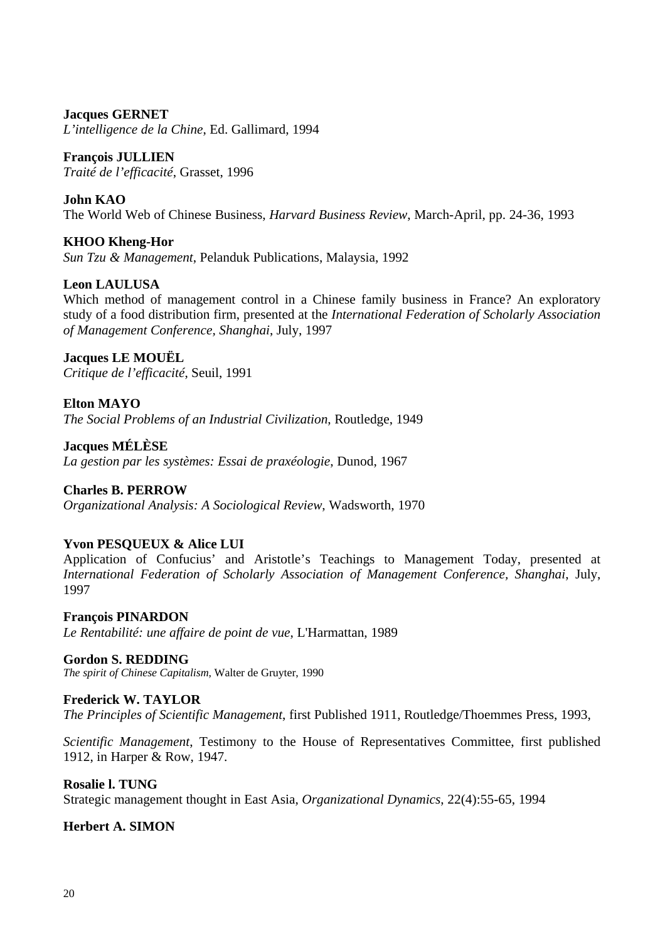**Jacques GERNET** *L'intelligence de la Chine*, Ed. Gallimard, 1994

**François JULLIEN** *Traité de l'efficacité*, Grasset, 1996

**John KAO**

The World Web of Chinese Business, *Harvard Business Review*, March-April, pp. 24-36, 1993

**KHOO Kheng-Hor** *Sun Tzu & Management*, Pelanduk Publications, Malaysia, 1992

# **Leon LAULUSA**

Which method of management control in a Chinese family business in France? An exploratory study of a food distribution firm, presented at the *International Federation of Scholarly Association of Management Conference, Shanghai*, July, 1997

**Jacques LE MOUËL** *Critique de l'efficacité*, Seuil, 1991

**Elton MAYO** *The Social Problems of an Industrial Civilization*, Routledge, 1949

**Jacques MÉLÈSE** *La gestion par les systèmes: Essai de praxéologie*, Dunod, 1967

**Charles B. PERROW** *Organizational Analysis: A Sociological Review*, Wadsworth, 1970

# **Yvon PESQUEUX & Alice LUI**

Application of Confucius' and Aristotle's Teachings to Management Today, presented at *International Federation of Scholarly Association of Management Conference, Shanghai*, July, 1997

**François PINARDON** *Le Rentabilité: une affaire de point de vue*, L'Harmattan, 1989

**Gordon S. REDDING** *The spirit of Chinese Capitalism*, Walter de Gruyter, 1990

# **Frederick W. TAYLOR**

*The Principles of Scientific Management*, first Published 1911, Routledge/Thoemmes Press, 1993,

*Scientific Management*, Testimony to the House of Representatives Committee, first published 1912, in Harper & Row, 1947.

**Rosalie l. TUNG** Strategic management thought in East Asia, *Organizational Dynamics*, 22(4):55-65, 1994

**Herbert A. SIMON**